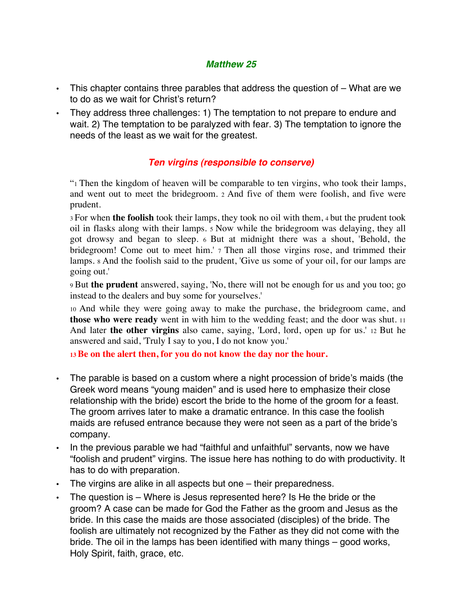## *Matthew 25*

- This chapter contains three parables that address the question of What are we to do as we wait for Christ's return?
- They address three challenges: 1) The temptation to not prepare to endure and wait. 2) The temptation to be paralyzed with fear. 3) The temptation to ignore the needs of the least as we wait for the greatest.

## *Ten virgins (responsible to conserve)*

"1 Then the kingdom of heaven will be comparable to ten virgins, who took their lamps, and went out to meet the bridegroom. 2 And five of them were foolish, and five were prudent.

3 For when **the foolish** took their lamps, they took no oil with them, 4 but the prudent took oil in flasks along with their lamps. 5 Now while the bridegroom was delaying, they all got drowsy and began to sleep. 6 But at midnight there was a shout, 'Behold, the bridegroom! Come out to meet him.' 7 Then all those virgins rose, and trimmed their lamps. 8 And the foolish said to the prudent, 'Give us some of your oil, for our lamps are going out.'

9 But **the prudent** answered, saying, 'No, there will not be enough for us and you too; go instead to the dealers and buy some for yourselves.'

10 And while they were going away to make the purchase, the bridegroom came, and **those who were ready** went in with him to the wedding feast; and the door was shut. 11 And later **the other virgins** also came, saying, 'Lord, lord, open up for us.' 12 But he answered and said, 'Truly I say to you, I do not know you.'

**13 Be on the alert then, for you do not know the day nor the hour.**

- The parable is based on a custom where a night procession of bride's maids (the Greek word means "young maiden" and is used here to emphasize their close relationship with the bride) escort the bride to the home of the groom for a feast. The groom arrives later to make a dramatic entrance. In this case the foolish maids are refused entrance because they were not seen as a part of the bride's company.
- In the previous parable we had "faithful and unfaithful" servants, now we have "foolish and prudent" virgins. The issue here has nothing to do with productivity. It has to do with preparation.
- The virgins are alike in all aspects but one their preparedness.
- The question is Where is Jesus represented here? Is He the bride or the groom? A case can be made for God the Father as the groom and Jesus as the bride. In this case the maids are those associated (disciples) of the bride. The foolish are ultimately not recognized by the Father as they did not come with the bride. The oil in the lamps has been identified with many things – good works, Holy Spirit, faith, grace, etc.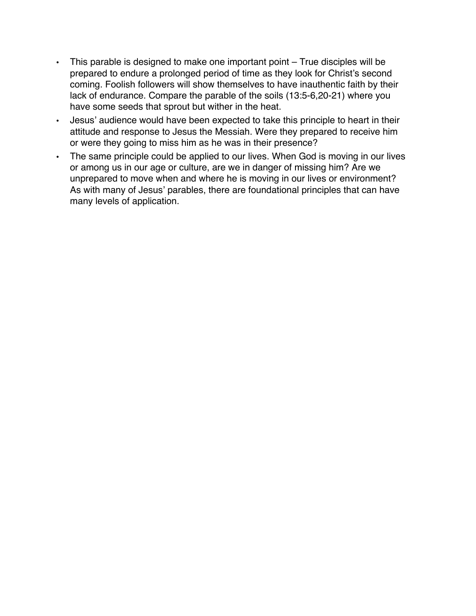- This parable is designed to make one important point True disciples will be prepared to endure a prolonged period of time as they look for Christ's second coming. Foolish followers will show themselves to have inauthentic faith by their lack of endurance. Compare the parable of the soils (13:5-6,20-21) where you have some seeds that sprout but wither in the heat.
- Jesus' audience would have been expected to take this principle to heart in their attitude and response to Jesus the Messiah. Were they prepared to receive him or were they going to miss him as he was in their presence?
- The same principle could be applied to our lives. When God is moving in our lives or among us in our age or culture, are we in danger of missing him? Are we unprepared to move when and where he is moving in our lives or environment? As with many of Jesus' parables, there are foundational principles that can have many levels of application.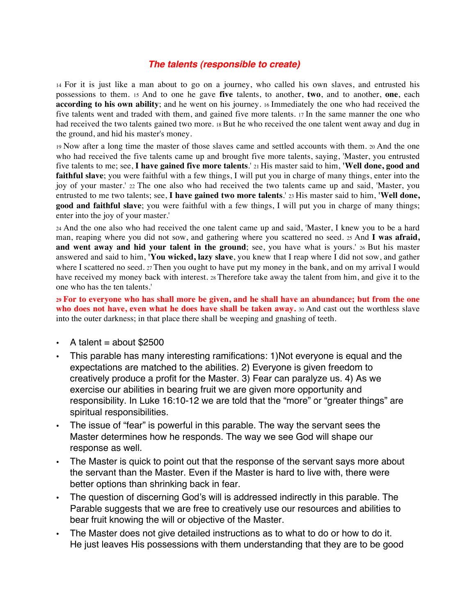## *The talents (responsible to create)*

14 For it is just like a man about to go on a journey, who called his own slaves, and entrusted his possessions to them. 15 And to one he gave **five** talents, to another, **two**, and to another, **one**, each **according to his own ability**; and he went on his journey. 16 Immediately the one who had received the five talents went and traded with them, and gained five more talents. 17 In the same manner the one who had received the two talents gained two more. 18 But he who received the one talent went away and dug in the ground, and hid his master's money.

19 Now after a long time the master of those slaves came and settled accounts with them. 20 And the one who had received the five talents came up and brought five more talents, saying, 'Master, you entrusted five talents to me; see, **I have gained five more talents**.' 21 His master said to him, **'Well done, good and faithful slave**; you were faithful with a few things, I will put you in charge of many things, enter into the joy of your master.' 22 The one also who had received the two talents came up and said, 'Master, you entrusted to me two talents; see, **I have gained two more talents**.' 23 His master said to him, **'Well done, good and faithful slave**; you were faithful with a few things, I will put you in charge of many things; enter into the joy of your master.'

24 And the one also who had received the one talent came up and said, 'Master, I knew you to be a hard man, reaping where you did not sow, and gathering where you scattered no seed. 25 And **I was afraid,**  and went away and hid your talent in the ground; see, you have what is yours.' 26 But his master answered and said to him, **'You wicked, lazy slave**, you knew that I reap where I did not sow, and gather where I scattered no seed. 27 Then you ought to have put my money in the bank, and on my arrival I would have received my money back with interest. 28 Therefore take away the talent from him, and give it to the one who has the ten talents.'

**29 For to everyone who has shall more be given, and he shall have an abundance; but from the one who does not have, even what he does have shall be taken away.** 30 And cast out the worthless slave into the outer darkness; in that place there shall be weeping and gnashing of teeth.

- A talent  $=$  about \$2500
- This parable has many interesting ramifications: 1)Not everyone is equal and the expectations are matched to the abilities. 2) Everyone is given freedom to creatively produce a profit for the Master. 3) Fear can paralyze us. 4) As we exercise our abilities in bearing fruit we are given more opportunity and responsibility. In Luke 16:10-12 we are told that the "more" or "greater things" are spiritual responsibilities.
- The issue of "fear" is powerful in this parable. The way the servant sees the Master determines how he responds. The way we see God will shape our response as well.
- The Master is quick to point out that the response of the servant says more about the servant than the Master. Even if the Master is hard to live with, there were better options than shrinking back in fear.
- The question of discerning God's will is addressed indirectly in this parable. The Parable suggests that we are free to creatively use our resources and abilities to bear fruit knowing the will or objective of the Master.
- The Master does not give detailed instructions as to what to do or how to do it. He just leaves His possessions with them understanding that they are to be good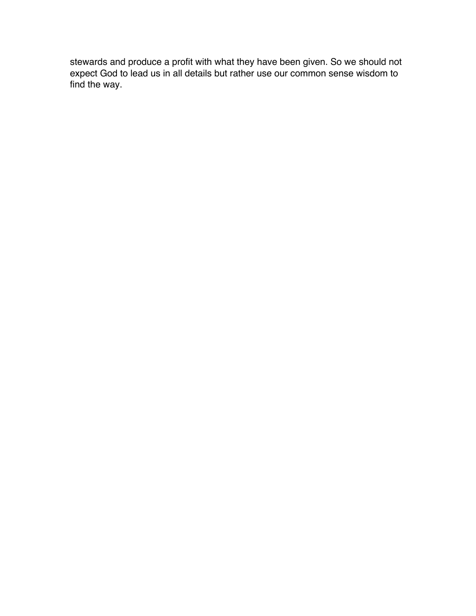stewards and produce a profit with what they have been given. So we should not expect God to lead us in all details but rather use our common sense wisdom to find the way.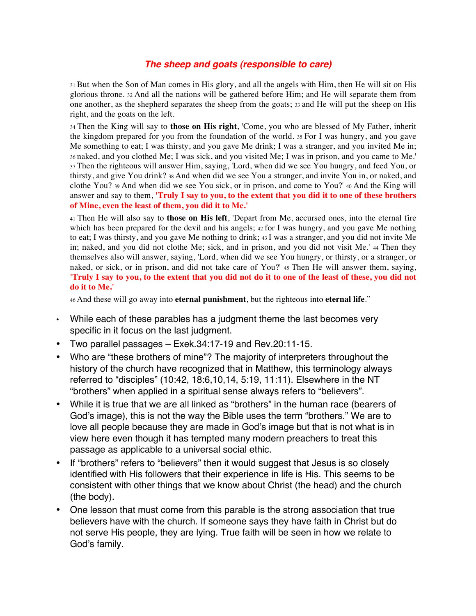## *The sheep and goats (responsible to care)*

31 But when the Son of Man comes in His glory, and all the angels with Him, then He will sit on His glorious throne. 32 And all the nations will be gathered before Him; and He will separate them from one another, as the shepherd separates the sheep from the goats; 33 and He will put the sheep on His right, and the goats on the left.

34 Then the King will say to **those on His right**, 'Come, you who are blessed of My Father, inherit the kingdom prepared for you from the foundation of the world. 35 For I was hungry, and you gave Me something to eat; I was thirsty, and you gave Me drink; I was a stranger, and you invited Me in; 36 naked, and you clothed Me; I was sick, and you visited Me; I was in prison, and you came to Me.' 37 Then the righteous will answer Him, saying, 'Lord, when did we see You hungry, and feed You, or thirsty, and give You drink? 38 And when did we see You a stranger, and invite You in, or naked, and clothe You? 39 And when did we see You sick, or in prison, and come to You?' 40 And the King will answer and say to them, **'Truly I say to you, to the extent that you did it to one of these brothers of Mine, even the least of them, you did it to Me.'** 

<sup>41</sup> Then He will also say to **those on His left**, 'Depart from Me, accursed ones, into the eternal fire which has been prepared for the devil and his angels; 42 for I was hungry, and you gave Me nothing to eat; I was thirsty, and you gave Me nothing to drink; 43 I was a stranger, and you did not invite Me in; naked, and you did not clothe Me; sick, and in prison, and you did not visit Me.' 44 Then they themselves also will answer, saying, 'Lord, when did we see You hungry, or thirsty, or a stranger, or naked, or sick, or in prison, and did not take care of You?' 45 Then He will answer them, saying, **'Truly I say to you, to the extent that you did not do it to one of the least of these, you did not do it to Me.'** 

46 And these will go away into **eternal punishment**, but the righteous into **eternal life**."

- While each of these parables has a judgment theme the last becomes very specific in it focus on the last judgment.
- Two parallel passages Exek.34:17-19 and Rev.20:11-15.
- Who are "these brothers of mine"? The majority of interpreters throughout the history of the church have recognized that in Matthew, this terminology always referred to "disciples" (10:42, 18:6,10,14, 5:19, 11:11). Elsewhere in the NT "brothers" when applied in a spiritual sense always refers to "believers".
- While it is true that we are all linked as "brothers" in the human race (bearers of God's image), this is not the way the Bible uses the term "brothers." We are to love all people because they are made in God's image but that is not what is in view here even though it has tempted many modern preachers to treat this passage as applicable to a universal social ethic.
- If "brothers" refers to "believers" then it would suggest that Jesus is so closely identified with His followers that their experience in life is His. This seems to be consistent with other things that we know about Christ (the head) and the church (the body).
- One lesson that must come from this parable is the strong association that true believers have with the church. If someone says they have faith in Christ but do not serve His people, they are lying. True faith will be seen in how we relate to God's family.